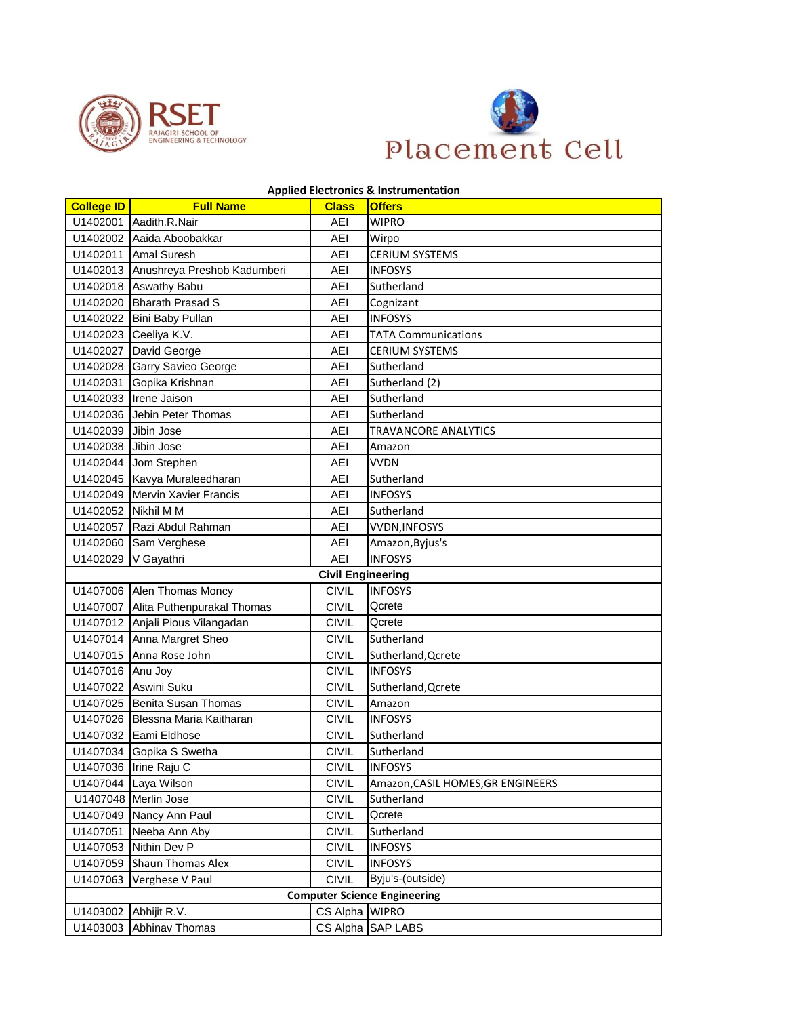



## **Applied Electronics & Instrumentation**

| <b>College ID</b>                   | <b>Full Name</b>                     | <b>Class</b>             | <b>Offers</b>                     |  |
|-------------------------------------|--------------------------------------|--------------------------|-----------------------------------|--|
|                                     | U1402001 Aadith.R.Nair               | AEI                      | <b>WIPRO</b>                      |  |
|                                     | U1402002 Aaida Aboobakkar            | AEI                      | Wirpo                             |  |
|                                     | U1402011 Amal Suresh                 | <b>AEI</b>               | <b>CERIUM SYSTEMS</b>             |  |
|                                     | U1402013 Anushreya Preshob Kadumberi | <b>AEI</b>               | <b>INFOSYS</b>                    |  |
|                                     | U1402018 Aswathy Babu                | AEI                      | Sutherland                        |  |
|                                     | U1402020 Bharath Prasad S            | AEI                      | Cognizant                         |  |
|                                     | U1402022 Bini Baby Pullan            | AEI                      | <b>INFOSYS</b>                    |  |
|                                     | U1402023 Ceeliya K.V.                | AEI                      | <b>TATA Communications</b>        |  |
|                                     | U1402027 David George                | AEI                      | <b>CERIUM SYSTEMS</b>             |  |
|                                     | U1402028 Garry Savieo George         | <b>AEI</b>               | Sutherland                        |  |
|                                     | U1402031 Gopika Krishnan             | AEI                      | Sutherland (2)                    |  |
|                                     | U1402033 Irene Jaison                | AEI                      | Sutherland                        |  |
|                                     | U1402036 Jebin Peter Thomas          | AEI                      | Sutherland                        |  |
| U1402039 Jibin Jose                 |                                      | AEI                      | TRAVANCORE ANALYTICS              |  |
| U1402038 Jibin Jose                 |                                      | AEI                      | Amazon                            |  |
|                                     | U1402044 Jom Stephen                 | AEI                      | <b>VVDN</b>                       |  |
|                                     | U1402045 Kavya Muraleedharan         | <b>AEI</b>               | Sutherland                        |  |
|                                     | U1402049 Mervin Xavier Francis       | AEI                      | <b>INFOSYS</b>                    |  |
|                                     | U1402052 Nikhil M M                  | <b>AEI</b>               | Sutherland                        |  |
|                                     | U1402057 Razi Abdul Rahman           | AEI                      | <b>VVDN, INFOSYS</b>              |  |
|                                     | U1402060 Sam Verghese                | AEI                      | Amazon, Byjus's                   |  |
|                                     | U1402029 V Gayathri                  | AEI                      | <b>INFOSYS</b>                    |  |
|                                     |                                      | <b>Civil Engineering</b> |                                   |  |
|                                     | U1407006 Alen Thomas Moncy           | <b>CIVIL</b>             | <b>INFOSYS</b>                    |  |
|                                     | U1407007 Alita Puthenpurakal Thomas  | <b>CIVIL</b>             | Qcrete                            |  |
|                                     | U1407012 Anjali Pious Vilangadan     | <b>CIVIL</b>             | Qcrete                            |  |
|                                     | U1407014 Anna Margret Sheo           | <b>CIVIL</b>             | Sutherland                        |  |
|                                     | U1407015 Anna Rose John              | <b>CIVIL</b>             | Sutherland, Qcrete                |  |
| U1407016 Anu Joy                    |                                      | <b>CIVIL</b>             | <b>INFOSYS</b>                    |  |
|                                     | U1407022 Aswini Suku                 | <b>CIVIL</b>             | Sutherland, Qcrete                |  |
|                                     | U1407025 Benita Susan Thomas         | <b>CIVIL</b>             | Amazon                            |  |
|                                     | U1407026 Blessna Maria Kaitharan     | <b>CIVIL</b>             | <b>INFOSYS</b>                    |  |
|                                     | U1407032 Eami Eldhose                | <b>CIVIL</b>             | Sutherland                        |  |
|                                     | U1407034 Gopika S Swetha             | <b>CIVIL</b>             | Sutherland                        |  |
|                                     | U1407036 Irine Raju C                | <b>CIVIL</b>             | <b>INFOSYS</b>                    |  |
|                                     | U1407044 Laya Wilson                 | <b>CIVIL</b>             | Amazon, CASIL HOMES, GR ENGINEERS |  |
|                                     | U1407048 Merlin Jose                 | <b>CIVIL</b>             | Sutherland                        |  |
|                                     | U1407049 Nancy Ann Paul              | <b>CIVIL</b>             | Qcrete                            |  |
|                                     | U1407051 Neeba Ann Aby               | <b>CIVIL</b>             | Sutherland                        |  |
|                                     | U1407053 Nithin Dev P                | <b>CIVIL</b>             | <b>INFOSYS</b>                    |  |
|                                     | U1407059 Shaun Thomas Alex           | <b>CIVIL</b>             | <b>INFOSYS</b>                    |  |
| U1407063                            | Verghese V Paul                      | <b>CIVIL</b>             | Byju's-(outside)                  |  |
| <b>Computer Science Engineering</b> |                                      |                          |                                   |  |
|                                     | U1403002 Abhijit R.V.                | CS Alpha WIPRO           |                                   |  |
| U1403003                            | Abhinav Thomas                       |                          | CS Alpha SAP LABS                 |  |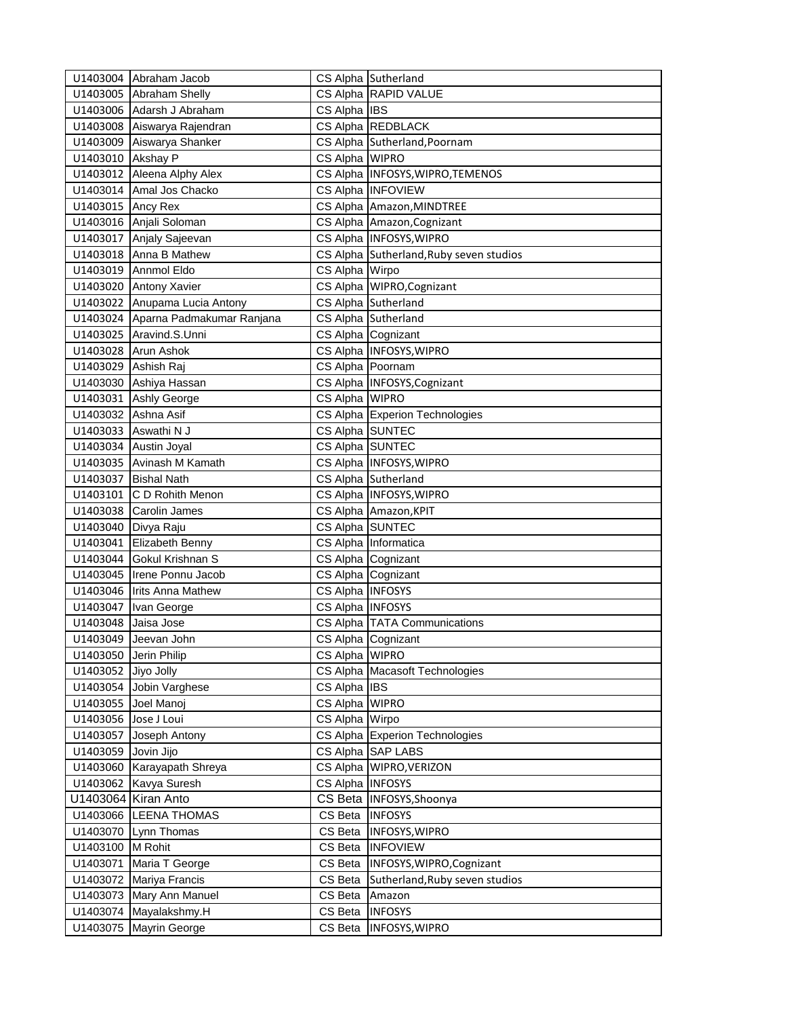|                      | U1403004 Abraham Jacob             |                  | CS Alpha Sutherland                     |
|----------------------|------------------------------------|------------------|-----------------------------------------|
|                      | U1403005 Abraham Shelly            |                  | CS Alpha RAPID VALUE                    |
|                      | U1403006 Adarsh J Abraham          | CS Alpha IBS     |                                         |
|                      | U1403008 Aiswarya Rajendran        |                  | CS Alpha REDBLACK                       |
|                      | U1403009 Aiswarya Shanker          |                  | CS Alpha Sutherland, Poornam            |
| U1403010 Akshay P    |                                    | CS Alpha WIPRO   |                                         |
|                      | U1403012 Aleena Alphy Alex         |                  | CS Alpha INFOSYS, WIPRO, TEMENOS        |
|                      | U1403014 Amal Jos Chacko           |                  | CS Alpha INFOVIEW                       |
| U1403015 Ancy Rex    |                                    |                  | CS Alpha Amazon, MINDTREE               |
|                      | U1403016 Anjali Soloman            |                  | CS Alpha Amazon, Cognizant              |
|                      | U1403017 Anjaly Sajeevan           |                  | CS Alpha INFOSYS, WIPRO                 |
|                      | U1403018 Anna B Mathew             |                  | CS Alpha Sutherland, Ruby seven studios |
|                      | U1403019 Annmol Eldo               | CS Alpha Wirpo   |                                         |
|                      | U1403020 Antony Xavier             |                  | CS Alpha WIPRO, Cognizant               |
|                      | U1403022 Anupama Lucia Antony      |                  | CS Alpha Sutherland                     |
|                      | U1403024 Aparna Padmakumar Ranjana |                  | CS Alpha Sutherland                     |
|                      | U1403025 Aravind.S.Unni            |                  | CS Alpha Cognizant                      |
|                      | U1403028 Arun Ashok                |                  | CS Alpha INFOSYS, WIPRO                 |
| U1403029 Ashish Raj  |                                    | CS Alpha Poornam |                                         |
|                      | U1403030 Ashiya Hassan             |                  | CS Alpha INFOSYS, Cognizant             |
|                      | U1403031 Ashly George              | CS Alpha WIPRO   |                                         |
| U1403032 Ashna Asif  |                                    |                  | CS Alpha Experion Technologies          |
|                      | U1403033 Aswathi N J               | CS Alpha SUNTEC  |                                         |
|                      | U1403034 Austin Joyal              | CS Alpha SUNTEC  |                                         |
|                      | U1403035 Avinash M Kamath          |                  | CS Alpha INFOSYS, WIPRO                 |
|                      | U1403037 Bishal Nath               |                  | CS Alpha Sutherland                     |
|                      | U1403101 C D Rohith Menon          |                  | CS Alpha INFOSYS, WIPRO                 |
|                      | U1403038 Carolin James             |                  | CS Alpha Amazon, KPIT                   |
| U1403040 Divya Raju  |                                    | CS Alpha SUNTEC  |                                         |
|                      | U1403041 Elizabeth Benny           |                  | CS Alpha Informatica                    |
|                      | U1403044 Gokul Krishnan S          |                  | CS Alpha Cognizant                      |
|                      | U1403045 Irene Ponnu Jacob         |                  | CS Alpha Cognizant                      |
|                      | U1403046 Irits Anna Mathew         | CS Alpha INFOSYS |                                         |
|                      | U1403047   Ivan George             | CS Alpha INFOSYS |                                         |
| U1403048 Jaisa Jose  |                                    |                  | CS Alpha TATA Communications            |
|                      | U1403049 Jeevan John               |                  | CS Alpha Cognizant                      |
|                      | U1403050 Jerin Philip              | CS Alpha WIPRO   |                                         |
| U1403052 Jiyo Jolly  |                                    |                  | CS Alpha Macasoft Technologies          |
|                      | U1403054 Jobin Varghese            | CS Alpha IBS     |                                         |
| U1403055 Joel Manoj  |                                    | CS Alpha WIPRO   |                                         |
| U1403056 Jose J Loui |                                    | CS Alpha Wirpo   |                                         |
|                      | U1403057 Joseph Antony             |                  | CS Alpha Experion Technologies          |
| U1403059 Jovin Jijo  |                                    |                  | CS Alpha SAP LABS                       |
|                      | U1403060 Karayapath Shreya         |                  | CS Alpha WIPRO, VERIZON                 |
|                      | U1403062 Kavya Suresh              | CS Alpha INFOSYS |                                         |
|                      | U1403064 Kiran Anto                |                  | CS Beta   INFOSYS, Shoonya              |
|                      | U1403066 LEENA THOMAS              | CS Beta  INFOSYS |                                         |
|                      | U1403070 Lynn Thomas               | CS Beta          | <b>INFOSYS, WIPRO</b>                   |
| U1403100 M Rohit     |                                    | CS Beta          | <b>INFOVIEW</b>                         |
|                      | U1403071 Maria T George            | CS Beta          | INFOSYS, WIPRO, Cognizant               |
|                      | U1403072 Mariya Francis            | CS Beta          | Sutherland, Ruby seven studios          |
|                      | U1403073 Mary Ann Manuel           | CS Beta          | Amazon                                  |
|                      | U1403074 Mayalakshmy.H             | CS Beta          | <b>INFOSYS</b>                          |
|                      | U1403075 Mayrin George             | CS Beta          | <b>INFOSYS, WIPRO</b>                   |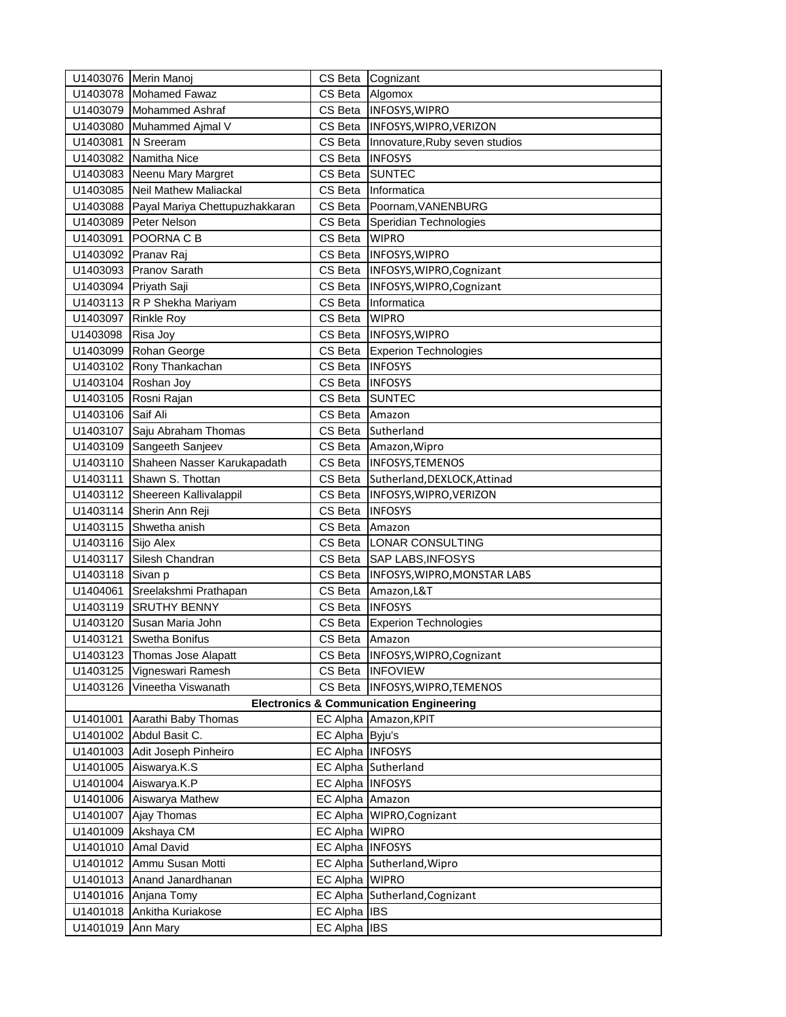|                    | U1403076 Merin Manoj                                    |                  | CS Beta Cognizant                                  |
|--------------------|---------------------------------------------------------|------------------|----------------------------------------------------|
|                    | U1403078 Mohamed Fawaz                                  | CS Beta          | Algomox                                            |
|                    | U1403079 Mohammed Ashraf                                | CS Beta          | <b>INFOSYS, WIPRO</b>                              |
|                    | U1403080 Muhammed Ajmal V                               | CS Beta          | INFOSYS, WIPRO, VERIZON                            |
| U1403081 N Sreeram |                                                         | CS Beta          | Innovature, Ruby seven studios                     |
|                    | U1403082 Namitha Nice                                   | CS Beta          | <b>INFOSYS</b>                                     |
|                    | U1403083 Neenu Mary Margret                             | CS Beta          | <b>SUNTEC</b>                                      |
|                    | U1403085 Neil Mathew Maliackal                          | CS Beta          | Informatica                                        |
|                    | U1403088 Payal Mariya Chettupuzhakkaran                 | CS Beta          | Poornam, VANENBURG                                 |
|                    | U1403089 Peter Nelson                                   | CS Beta          | Speridian Technologies                             |
|                    | U1403091 POORNA C B                                     | CS Beta          | <b>WIPRO</b>                                       |
|                    | U1403092 Pranav Raj                                     | CS Beta          | INFOSYS, WIPRO                                     |
|                    | U1403093 Pranov Sarath                                  | CS Beta          | INFOSYS, WIPRO, Cognizant                          |
|                    | U1403094 Priyath Saji                                   | CS Beta          | INFOSYS, WIPRO, Cognizant                          |
|                    | U1403113 R P Shekha Mariyam                             | CS Beta          | Informatica                                        |
|                    | U1403097 Rinkle Roy                                     | CS Beta          | <b>WIPRO</b>                                       |
| U1403098           | Risa Joy                                                |                  | CS Beta  INFOSYS, WIPRO                            |
|                    | U1403099 Rohan George                                   | CS Beta          | <b>Experion Technologies</b>                       |
|                    | U1403102 Rony Thankachan                                | CS Beta          | <b>INFOSYS</b>                                     |
|                    | U1403104 Roshan Joy                                     | CS Beta          | <b>INFOSYS</b>                                     |
|                    | U1403105 Rosni Rajan                                    | CS Beta          | <b>SUNTEC</b>                                      |
| U1403106 Saif Ali  |                                                         | CS Beta          | Amazon                                             |
|                    | U1403107 Saju Abraham Thomas                            | CS Beta          | Sutherland                                         |
|                    | U1403109 Sangeeth Sanjeev                               | CS Beta          | Amazon, Wipro                                      |
|                    | U1403110 Shaheen Nasser Karukapadath                    |                  | CS Beta  INFOSYS, TEMENOS                          |
|                    | U1403111 Shawn S. Thottan                               | CS Beta          | Sutherland, DEXLOCK, Attinad                       |
|                    | U1403112 Sheereen Kallivalappil                         | CS Beta          | INFOSYS, WIPRO, VERIZON                            |
|                    | U1403114 Sherin Ann Reji                                | CS Beta          | <b>INFOSYS</b>                                     |
|                    | U1403115 Shwetha anish                                  | CS Beta          | Amazon                                             |
| U1403116 Sijo Alex |                                                         |                  | CS Beta LONAR CONSULTING                           |
|                    | U1403117 Silesh Chandran                                |                  | CS Beta SAP LABS, INFOSYS                          |
| U1403118 Sivan p   |                                                         | CS Beta          | INFOSYS, WIPRO, MONSTAR LABS                       |
|                    | U1404061 Sreelakshmi Prathapan                          | CS Beta          | Amazon, L&T                                        |
|                    | U1403119 SRUTHY BENNY                                   | CS Beta          | <b>INFOSYS</b>                                     |
|                    | U1403120 Susan Maria John                               | CS Beta          | <b>Experion Technologies</b>                       |
|                    | U1403121 Swetha Bonifus                                 | CS Beta          | Amazon                                             |
|                    | U1403123 Thomas Jose Alapatt                            |                  | CS Beta INFOSYS, WIPRO, Cognizant                  |
|                    | U1403125 Vigneswari Ramesh                              | CS Beta          | <b>INFOVIEW</b>                                    |
| U1403126           | Vineetha Viswanath                                      | CS Beta          | INFOSYS, WIPRO, TEMENOS                            |
|                    |                                                         |                  | <b>Electronics &amp; Communication Engineering</b> |
|                    | U1401001 Aarathi Baby Thomas<br>U1401002 Abdul Basit C. | EC Alpha Byju's  | EC Alpha Amazon, KPIT                              |
|                    | U1401003 Adit Joseph Pinheiro                           | EC Alpha INFOSYS |                                                    |
|                    | U1401005 Aiswarya.K.S                                   |                  | EC Alpha Sutherland                                |
|                    | U1401004 Aiswarya.K.P                                   | EC Alpha INFOSYS |                                                    |
|                    | U1401006 Aiswarya Mathew                                | EC Alpha Amazon  |                                                    |
|                    | U1401007 Ajay Thomas                                    |                  | EC Alpha WIPRO, Cognizant                          |
|                    | U1401009 Akshaya CM                                     | EC Alpha WIPRO   |                                                    |
|                    | U1401010 Amal David                                     | EC Alpha INFOSYS |                                                    |
|                    | U1401012 Ammu Susan Motti                               |                  | EC Alpha Sutherland, Wipro                         |
|                    | U1401013 Anand Janardhanan                              | EC Alpha WIPRO   |                                                    |
|                    | U1401016 Anjana Tomy                                    |                  | EC Alpha Sutherland, Cognizant                     |
| U1401018           | Ankitha Kuriakose                                       | EC Alpha IBS     |                                                    |
| U1401019           | Ann Mary                                                | EC Alpha IBS     |                                                    |
|                    |                                                         |                  |                                                    |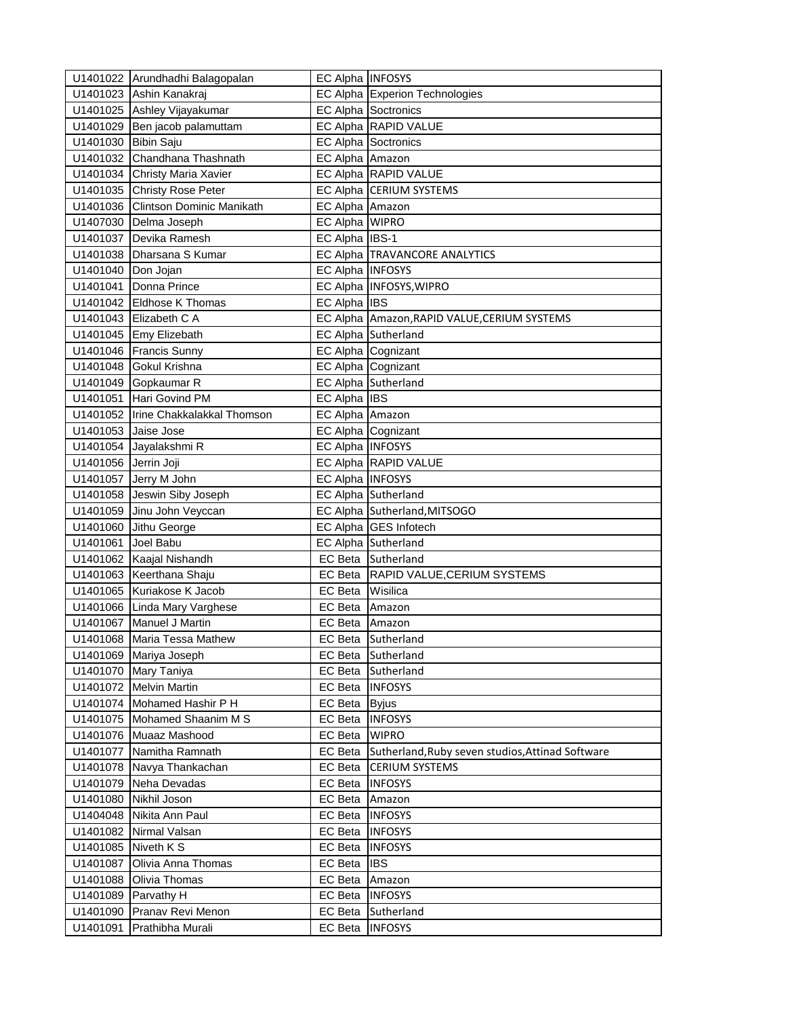|                      | U1401022 Arundhadhi Balagopalan     | EC Alpha INFOSYS |                                                  |
|----------------------|-------------------------------------|------------------|--------------------------------------------------|
|                      | U1401023 Ashin Kanakraj             |                  | EC Alpha Experion Technologies                   |
|                      | U1401025 Ashley Vijayakumar         |                  | <b>EC Alpha Soctronics</b>                       |
|                      | U1401029 Ben jacob palamuttam       |                  | EC Alpha RAPID VALUE                             |
| U1401030 Bibin Saju  |                                     |                  | <b>EC Alpha Soctronics</b>                       |
|                      | U1401032 Chandhana Thashnath        | EC Alpha Amazon  |                                                  |
|                      | U1401034 Christy Maria Xavier       |                  | EC Alpha RAPID VALUE                             |
|                      | U1401035 Christy Rose Peter         |                  | EC Alpha CERIUM SYSTEMS                          |
|                      | U1401036 Clintson Dominic Manikath  | EC Alpha Amazon  |                                                  |
|                      | U1407030 Delma Joseph               | EC Alpha WIPRO   |                                                  |
|                      | U1401037 Devika Ramesh              | EC Alpha IBS-1   |                                                  |
|                      | U1401038 Dharsana S Kumar           |                  | EC Alpha TRAVANCORE ANALYTICS                    |
| U1401040 Don Jojan   |                                     | EC Alpha INFOSYS |                                                  |
|                      | U1401041 Donna Prince               |                  | EC Alpha INFOSYS, WIPRO                          |
|                      | U1401042 Eldhose K Thomas           | EC Alpha IBS     |                                                  |
|                      | U1401043 Elizabeth C A              |                  | EC Alpha Amazon, RAPID VALUE, CERIUM SYSTEMS     |
|                      | U1401045 Emy Elizebath              |                  | EC Alpha Sutherland                              |
|                      | U1401046 Francis Sunny              |                  | EC Alpha Cognizant                               |
|                      | U1401048 Gokul Krishna              |                  | EC Alpha Cognizant                               |
|                      | U1401049 Gopkaumar R                |                  | EC Alpha Sutherland                              |
|                      | U1401051 Hari Govind PM             | EC Alpha IBS     |                                                  |
|                      | U1401052 Irine Chakkalakkal Thomson | EC Alpha Amazon  |                                                  |
| U1401053 Jaise Jose  |                                     |                  | EC Alpha Cognizant                               |
|                      | U1401054 Jayalakshmi R              | EC Alpha INFOSYS |                                                  |
| U1401056 Jerrin Joji |                                     |                  | EC Alpha RAPID VALUE                             |
|                      | U1401057 Jerry M John               | EC Alpha INFOSYS |                                                  |
|                      | U1401058 Jeswin Siby Joseph         |                  | EC Alpha Sutherland                              |
|                      | U1401059 Jinu John Veyccan          |                  | EC Alpha Sutherland, MITSOGO                     |
|                      | U1401060 Jithu George               |                  | EC Alpha GES Infotech                            |
| U1401061 Joel Babu   |                                     |                  | EC Alpha Sutherland                              |
|                      | U1401062 Kaajal Nishandh            |                  | EC Beta Sutherland                               |
|                      | U1401063 Keerthana Shaju            | EC Beta          | RAPID VALUE, CERIUM SYSTEMS                      |
|                      | U1401065 Kuriakose K Jacob          | EC Beta          | Wisilica                                         |
|                      | U1401066 Linda Mary Varghese        | EC Beta          | Amazon                                           |
|                      | U1401067 Manuel J Martin            | EC Beta          | Amazon                                           |
|                      | U1401068 Maria Tessa Mathew         |                  | EC Beta Sutherland                               |
|                      | U1401069 Mariya Joseph              |                  | EC Beta Sutherland                               |
|                      | U1401070 Mary Taniya                | EC Beta          | Sutherland                                       |
|                      | U1401072 Melvin Martin              | EC Beta          | <b>INFOSYS</b>                                   |
|                      | U1401074 Mohamed Hashir P H         | EC Beta          | <b>Byjus</b>                                     |
|                      | U1401075 Mohamed Shaanim M S        | EC Beta          | <b>INFOSYS</b>                                   |
|                      | U1401076 Muaaz Mashood              | EC Beta          | <b>WIPRO</b>                                     |
|                      | U1401077 Namitha Ramnath            | EC Beta          | Sutherland, Ruby seven studios, Attinad Software |
|                      | U1401078 Navya Thankachan           | EC Beta          | <b>CERIUM SYSTEMS</b>                            |
|                      | U1401079 Neha Devadas               | EC Beta  INFOSYS |                                                  |
|                      | U1401080 Nikhil Joson               | EC Beta Amazon   |                                                  |
|                      | U1404048 Nikita Ann Paul            | EC Beta          | <b>INFOSYS</b>                                   |
|                      | U1401082 Nirmal Valsan              | EC Beta          | <b>INFOSYS</b>                                   |
| U1401085 Niveth K S  |                                     | EC Beta          | <b>INFOSYS</b>                                   |
| U1401087             | Olivia Anna Thomas                  | EC Beta          | <b>IBS</b>                                       |
| U1401088             | Olivia Thomas                       | EC Beta          | Amazon                                           |
|                      | U1401089 Parvathy H                 | EC Beta          | <b>INFOSYS</b>                                   |
|                      | U1401090 Pranav Revi Menon          | EC Beta          | Sutherland                                       |
| U1401091             | Prathibha Murali                    | EC Beta          | <b>INFOSYS</b>                                   |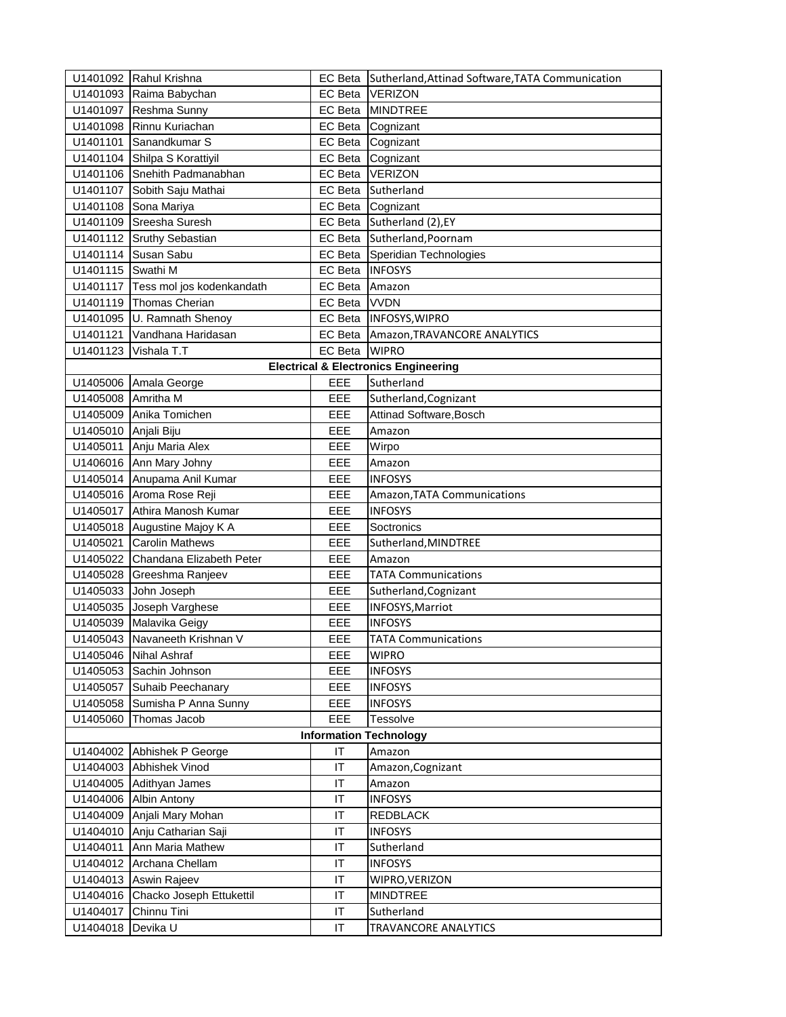|                      | U1401092 Rahul Krishna             | EC Beta        | Sutherland, Attinad Software, TATA Communication |
|----------------------|------------------------------------|----------------|--------------------------------------------------|
|                      | U1401093 Raima Babychan            | <b>EC</b> Beta | <b>VERIZON</b>                                   |
|                      | U1401097 Reshma Sunny              | <b>EC</b> Beta | <b>MINDTREE</b>                                  |
|                      | U1401098 Rinnu Kuriachan           | EC Beta        | Cognizant                                        |
|                      | U1401101 Sanandkumar S             | EC Beta        | Cognizant                                        |
|                      | U1401104 Shilpa S Korattiyil       | EC Beta        | Cognizant                                        |
|                      | U1401106 Snehith Padmanabhan       | EC Beta        | <b>IVERIZON</b>                                  |
|                      | U1401107 Sobith Saju Mathai        | EC Beta        | Sutherland                                       |
|                      | U1401108 Sona Mariya               | EC Beta        | Cognizant                                        |
|                      | U1401109 Sreesha Suresh            | EC Beta        | Sutherland (2), EY                               |
|                      | U1401112 Sruthy Sebastian          | EC Beta        | Sutherland, Poornam                              |
|                      | U1401114 Susan Sabu                | EC Beta        | Speridian Technologies                           |
| U1401115 Swathi M    |                                    | EC Beta        | <b>INFOSYS</b>                                   |
|                      | U1401117 Tess mol jos kodenkandath | EC Beta        | Amazon                                           |
|                      | U1401119 Thomas Cherian            | <b>EC</b> Beta | <b>VVDN</b>                                      |
|                      | U1401095 U. Ramnath Shenoy         | EC Beta        | <b>INFOSYS, WIPRO</b>                            |
| U1401121             | Vandhana Haridasan                 | EC Beta        | Amazon, TRAVANCORE ANALYTICS                     |
|                      | U1401123 Vishala T.T               | <b>EC</b> Beta | <b>WIPRO</b>                                     |
|                      |                                    |                | <b>Electrical &amp; Electronics Engineering</b>  |
|                      | U1405006 Amala George              | EEE            | Sutherland                                       |
| U1405008 Amritha M   |                                    | EEE            | Sutherland, Cognizant                            |
|                      | U1405009 Anika Tomichen            | EEE            | Attinad Software, Bosch                          |
| U1405010 Anjali Biju |                                    | EEE            | Amazon                                           |
|                      | U1405011 Anju Maria Alex           | EEE            | Wirpo                                            |
|                      | U1406016 Ann Mary Johny            | EEE            | Amazon                                           |
|                      | U1405014 Anupama Anil Kumar        | EEE            | <b>INFOSYS</b>                                   |
|                      | U1405016 Aroma Rose Reji           | EEE            | Amazon, TATA Communications                      |
|                      | U1405017 Athira Manosh Kumar       | EEE            | <b>INFOSYS</b>                                   |
|                      | U1405018 Augustine Majoy K A       | EEE            | Soctronics                                       |
|                      | U1405021 Carolin Mathews           | EEE            | Sutherland, MINDTREE                             |
|                      | U1405022 Chandana Elizabeth Peter  | EEE            | Amazon                                           |
|                      | U1405028 Greeshma Ranjeev          | EEE            | <b>TATA Communications</b>                       |
|                      | U1405033 John Joseph               | EEE            | Sutherland, Cognizant                            |
|                      | U1405035 Joseph Varghese           | EEE            | INFOSYS, Marriot                                 |
|                      | U1405039 Malavika Geigy            | EEE            | <b>INFOSYS</b>                                   |
|                      | U1405043 Navaneeth Krishnan V      | EEE            | <b>TATA Communications</b>                       |
|                      | U1405046 Nihal Ashraf              | EEE            | <b>WIPRO</b>                                     |
|                      | U1405053 Sachin Johnson            | EEE            | <b>INFOSYS</b>                                   |
|                      | U1405057 Suhaib Peechanary         | EEE            | <b>INFOSYS</b>                                   |
|                      | U1405058 Sumisha P Anna Sunny      | EEE            | <b>INFOSYS</b>                                   |
|                      | U1405060 Thomas Jacob              | EEE            | Tessolve                                         |
|                      |                                    |                | <b>Information Technology</b>                    |
|                      | U1404002 Abhishek P George         | IT             | Amazon                                           |
|                      | U1404003 Abhishek Vinod            | IT             | Amazon, Cognizant                                |
|                      | U1404005 Adithyan James            | IT             | Amazon                                           |
|                      | U1404006 Albin Antony              | IT             | <b>INFOSYS</b>                                   |
|                      | U1404009 Anjali Mary Mohan         | IT             | REDBLACK                                         |
|                      | U1404010 Anju Catharian Saji       | IT             | <b>INFOSYS</b>                                   |
|                      | U1404011 Ann Maria Mathew          | IT             | Sutherland                                       |
|                      | U1404012 Archana Chellam           | IT             | <b>INFOSYS</b>                                   |
|                      | U1404013 Aswin Rajeev              | IT             | WIPRO, VERIZON                                   |
|                      | U1404016 Chacko Joseph Ettukettil  | IT             | <b>MINDTREE</b>                                  |
|                      | U1404017 Chinnu Tini               | IT             | Sutherland                                       |
| U1404018             | Devika U                           | IT             | TRAVANCORE ANALYTICS                             |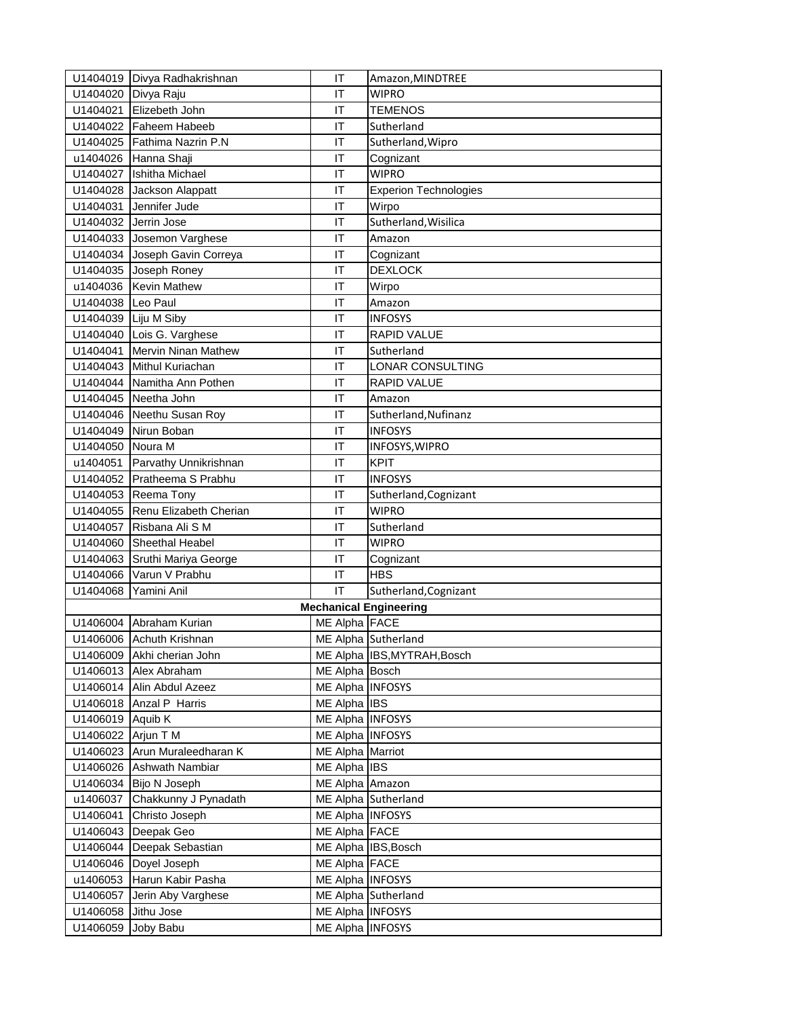|                      | U1404019 Divya Radhakrishnan    | IT               | Amazon, MINDTREE              |
|----------------------|---------------------------------|------------------|-------------------------------|
| U1404020 Divya Raju  |                                 | IT               | <b>WIPRO</b>                  |
|                      | U1404021 Elizebeth John         | IT               | <b>TEMENOS</b>                |
|                      | U1404022 Faheem Habeeb          | ΙT               | Sutherland                    |
|                      | U1404025 Fathima Nazrin P.N     | ΙT               | Sutherland, Wipro             |
|                      | u1404026 Hanna Shaji            | IT               | Cognizant                     |
|                      | U1404027 Ishitha Michael        | IT               | <b>WIPRO</b>                  |
|                      | U1404028 Jackson Alappatt       | IT               | <b>Experion Technologies</b>  |
|                      | U1404031 Jennifer Jude          | IT               | Wirpo                         |
| U1404032 Jerrin Jose |                                 | IT               | Sutherland, Wisilica          |
|                      | U1404033 Josemon Varghese       | IT               | Amazon                        |
|                      | U1404034 Joseph Gavin Correya   | IT               | Cognizant                     |
|                      | U1404035 Joseph Roney           | IT               | <b>DEXLOCK</b>                |
|                      | u1404036 Kevin Mathew           | IT               | Wirpo                         |
| U1404038 Leo Paul    |                                 | IT               | Amazon                        |
| U1404039 Liju M Siby |                                 | ΙT               | <b>INFOSYS</b>                |
|                      | U1404040 Lois G. Varghese       | IT               | <b>RAPID VALUE</b>            |
|                      | U1404041 Mervin Ninan Mathew    | IT               | Sutherland                    |
|                      | U1404043 Mithul Kuriachan       | IT               | LONAR CONSULTING              |
|                      | U1404044 Namitha Ann Pothen     | IT               | <b>RAPID VALUE</b>            |
|                      | U1404045 Neetha John            | IT               | Amazon                        |
|                      | U1404046 Neethu Susan Roy       | IT               | Sutherland, Nufinanz          |
|                      | U1404049 Nirun Boban            | IT               | <b>INFOSYS</b>                |
| U1404050 Noura M     |                                 | IT               | INFOSYS, WIPRO                |
|                      | u1404051 Parvathy Unnikrishnan  | ΙT               | <b>KPIT</b>                   |
|                      | U1404052 Pratheema S Prabhu     | IT               | <b>INFOSYS</b>                |
|                      | U1404053 Reema Tony             | IT               | Sutherland, Cognizant         |
|                      | U1404055 Renu Elizabeth Cherian | IT               | <b>WIPRO</b>                  |
|                      | U1404057 Risbana Ali S M        | IT               | Sutherland                    |
|                      | U1404060 Sheethal Heabel        | IT               | <b>WIPRO</b>                  |
|                      | U1404063 Sruthi Mariya George   | ΙT               | Cognizant                     |
|                      | U1404066 Varun V Prabhu         | IT               | <b>HBS</b>                    |
|                      | U1404068 Yamini Anil            | IT               | Sutherland, Cognizant         |
|                      |                                 |                  | <b>Mechanical Engineering</b> |
|                      | U1406004 Abraham Kurian         | ME Alpha FACE    |                               |
|                      | U1406006 Achuth Krishnan        |                  | ME Alpha Sutherland           |
|                      | U1406009 Akhi cherian John      |                  | ME Alpha IBS, MYTRAH, Bosch   |
|                      | U1406013 Alex Abraham           | ME Alpha Bosch   |                               |
|                      | U1406014 Alin Abdul Azeez       | ME Alpha INFOSYS |                               |
|                      | U1406018 Anzal P Harris         | ME Alpha IBS     |                               |
| U1406019 Aquib K     |                                 | ME Alpha INFOSYS |                               |
| U1406022 Arjun T M   |                                 | ME Alpha INFOSYS |                               |
|                      | U1406023 Arun Muraleedharan K   | ME Alpha Marriot |                               |
|                      | U1406026 Ashwath Nambiar        | ME Alpha IBS     |                               |
|                      | U1406034 Bijo N Joseph          | ME Alpha Amazon  |                               |
|                      | u1406037 Chakkunny J Pynadath   |                  | ME Alpha Sutherland           |
|                      | U1406041 Christo Joseph         | ME Alpha INFOSYS |                               |
|                      | U1406043 Deepak Geo             | ME Alpha FACE    |                               |
|                      | U1406044 Deepak Sebastian       |                  | ME Alpha IBS, Bosch           |
|                      | U1406046 Doyel Joseph           | ME Alpha FACE    |                               |
|                      | u1406053 Harun Kabir Pasha      | ME Alpha INFOSYS |                               |
|                      | U1406057 Jerin Aby Varghese     |                  | ME Alpha Sutherland           |
| U1406058             | Jithu Jose                      | ME Alpha INFOSYS |                               |
| U1406059             | Joby Babu                       | ME Alpha INFOSYS |                               |